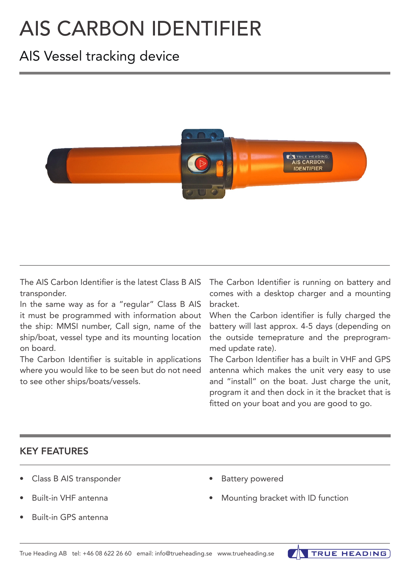# AIS CARBON IDENTIFIER

# AIS Vessel tracking device



The AIS Carbon Identifier is the latest Class B AIS transponder.

In the same way as for a "regular" Class B AIS it must be programmed with information about the ship: MMSI number, Call sign, name of the ship/boat, vessel type and its mounting location on board.

The Carbon Identifier is suitable in applications where you would like to be seen but do not need to see other ships/boats/vessels.

The Carbon Identifier is running on battery and comes with a desktop charger and a mounting bracket.

When the Carbon identifier is fully charged the battery will last approx. 4-5 days (depending on the outside temeprature and the preprogrammed update rate).

The Carbon Identifier has a built in VHF and GPS antenna which makes the unit very easy to use and "install" on the boat. Just charge the unit, program it and then dock in it the bracket that is fitted on your boat and you are good to go.

### KEY FEATURES

- Class B AIS transponder
- Built-in VHF antenna
- Built-in GPS antenna
- Battery powered
- Mounting bracket with ID function

**TRUE HEADING**